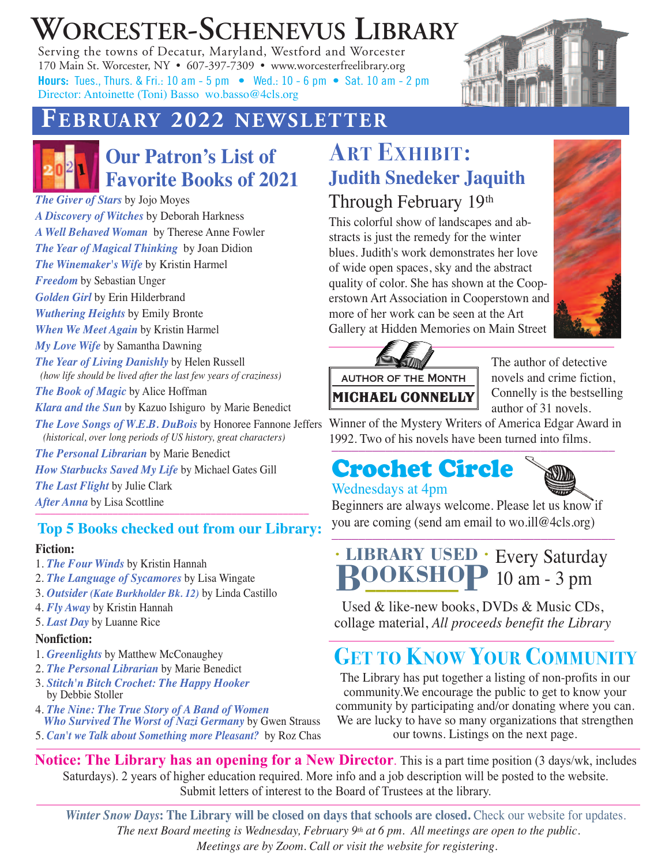# **WORCESTER-SCHENEVUS LIBRARY**

Serving the towns of Decatur, Maryland, Westford and Worcester 170 Main St. Worcester, NY • 607-397-7309 • www.worcesterfreelibrary.org **Hours:** Tues., Thurs. & Fri.: 10 am - 5 pm • Wed.: 10 - 6 pm • Sat. 10 am - 2 pm Director: Antoinette (Toni) Basso wo.basso@4cls.org



### **FFEEBBRRUUAARRYY 22002222 NNEEWWSSLLEETTTTEERR**



### **Our Patron's List of Favorite Books of 2021**

*The Giver of Stars* by Jojo Moyes *A Discovery of Witches* by Deborah Harkness *A Well Behaved Woman* by Therese Anne Fowler *The Year of Magical Thinking* by Joan Didion *The Winemaker's Wife* by Kristin Harmel *Freedom* by Sebastian Unger *Golden Girl* by Erin Hilderbrand *Wuthering Heights* by Emily Bronte *When We Meet Again* by Kristin Harmel *My Love Wife* by Samantha Dawning *The Year of Living Danishly* by Helen Russell *(how life should be lived after the last few years of craziness) The Book of Magic* by Alice Hoffman *Klara and the Sun* by Kazuo Ishiguro by Marie Benedict *(historical, over long periods of US history, great characters) The Personal Librarian* by Marie Benedict *How Starbucks Saved My Life* by Michael Gates Gill

#### *The Last Flight* by Julie Clark

*After Anna* by Lisa Scottline

#### ––––––––––––––––––––––––––––––––––––––––––––––––––––– **Top 5 Books checked out from our Library:**

#### **Fiction:**

- 1. *The Four Winds* by Kristin Hannah
- 2. *The Language of Sycamores* by Lisa Wingate
- 3. *Outsider (Kate Burkholder Bk. 12)* by Linda Castillo
- 4. *Fly Away* by Kristin Hannah
- 5. *Last Day* by Luanne Rice

#### **Nonfiction:**

- 1. *Greenlights* by Matthew McConaughey
- 2. *The Personal Librarian* by Marie Benedict
- 3. *Stitch'n Bitch Crochet: The Happy Hooker* by Debbie Stoller
- 4. *The Nine: The True Story of A Band of Women Who Survived The Worst of Nazi Germany* by Gwen Strauss
- 5. *Can't we Talk about Something more Pleasant?* by Roz Chas

## **ART EXHIBIT: Judith Snedeker Jaquith** Through February 19th

This colorful show of landscapes and abstracts is just the remedy for the winter blues. Judith's work demonstrates her love of wide open spaces, sky and the abstract quality of color. She has shown at the Cooperstown Art Association in Cooperstown and more of her work can be seen at the Art Gallery at Hidden Memories on Main Street





The author of detective novels and crime fiction, Connelly is the bestselling author of 31 novels.

*The Love Songs of W.E.B. DuBois* by Honoree Fannone Jeffers Winner of the Mystery Writers of America Edgar Award in –––––––––––––––––––––––––––––––––––––––––– 1992. Two of his novels have been turned into films.

#### Crochet Circle Wednesdays at 4pm



Beginners are always welcome. Please let us know if you are coming (send am email to wo.ill@4cls.org)

#### –––––––––––––––––––––––––––––––––––––––––– Every Saturday **• LIBRARY USED •** 10 am - 3 pm **BOOKSHOP O–– K– S –– H–**

Used & like-new books, DVDs & Music CDs, collage material, *All proceeds benefit the Library*

## **GET TO KNOW YOUR COMMUNITY**

The Library has put together a listing of non-profits in our community.We encourage the public to get to know your community by participating and/or donating where you can. We are lucky to have so many organizations that strengthen our towns. Listings on the next page.

**Notice: The Library has an opening for a New Director**. This is a part time position (3 days/wk, includes Saturdays). 2 years of higher education required. More info and a job description will be posted to the website. Submit letters of interest to the Board of Trustees at the library.

*Winter Snow Days***: The Library will be closed on days that schools are closed.** Check our website for updates. *The next Board meeting is Wednesday, February 9th at 6 pm. All meetings are open to the public. Meetings are by Zoom. Call or visit the website for registering.*